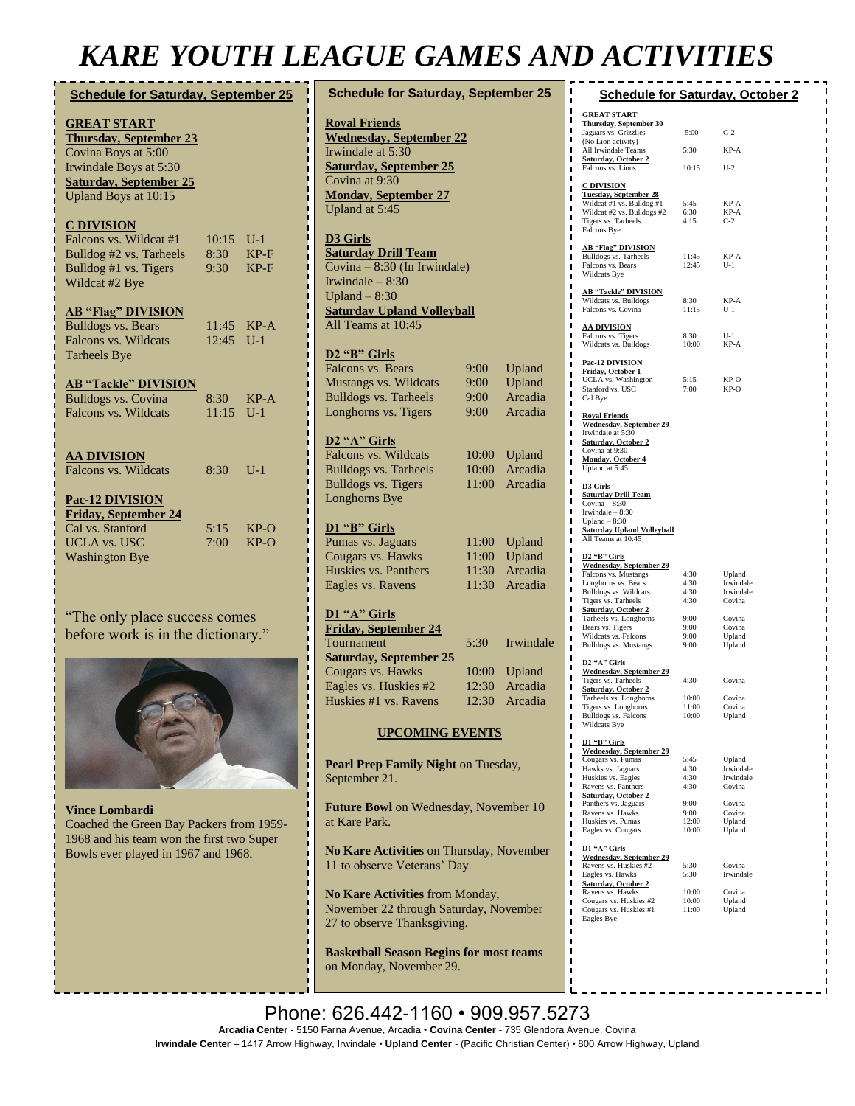## *KARE YOUTH LEAGUE GAMES AND ACTIVITIES*

| <b>Schedule for Saturday, September 25</b> |                                                                                                                                                               |                             |                                                                  | <b>Schedule for Saturday, September 25</b>                                                                                                                                      |                                  |                                        |
|--------------------------------------------|---------------------------------------------------------------------------------------------------------------------------------------------------------------|-----------------------------|------------------------------------------------------------------|---------------------------------------------------------------------------------------------------------------------------------------------------------------------------------|----------------------------------|----------------------------------------|
|                                            | <b>GREAT START</b><br><b>Thursday, September 23</b><br>Covina Boys at 5:00<br>Irwindale Boys at 5:30<br><b>Saturday, September 25</b><br>Upland Boys at 10:15 |                             |                                                                  | <b>Royal Friends</b><br><b>Wednesday, September 22</b><br>Irwindale at 5:30<br><b>Saturday, September 25</b><br>Covina at 9:30<br><b>Monday, September 27</b><br>Upland at 5:45 |                                  |                                        |
|                                            | <u>C DIVISION</u><br>Falcons vs. Wildcat #1<br>Bulldog #2 vs. Tarheels<br>Bulldog #1 vs. Tigers<br>Wildcat #2 Bye                                             | $10:15$ U-1<br>8:30<br>9:30 | $KP-F$<br>$KP-F$                                                 | D3 Girls<br><b>Saturday Drill Team</b><br>Covina – 8:30 (In Irwindale)<br>Irwindale $-8:30$<br>Upland $-8:30$                                                                   |                                  |                                        |
|                                            | <b>AB "Flag" DIVISION</b><br><b>Bulldogs vs. Bears</b><br>Falcons vs. Wildcats<br><b>Tarheels Bye</b>                                                         | 12:45                       | 11:45 KP-A<br>$U-1$                                              | <b>Saturday Upland Volleyball</b><br>All Teams at 10:45<br>D <sub>2</sub> "B" Girls<br><b>Falcons vs. Bears</b>                                                                 | 9:00                             | Upland                                 |
|                                            | <b>AB "Tackle" DIVISION</b><br><b>Bulldogs vs. Covina</b><br><b>Falcons vs. Wildcats</b>                                                                      | 8:30<br>11:15               | $KP-A$<br>$U-1$                                                  | Mustangs vs. Wildcats<br><b>Bulldogs vs. Tarheels</b><br>Longhorns vs. Tigers                                                                                                   | 9:00<br>9:00<br>9:00             | Upland<br>Arcadia<br>Arcadia           |
|                                            | <b>AA DIVISION</b><br>Falcons vs. Wildcats<br><b>Pac-12 DIVISION</b>                                                                                          | 8:30                        | $U-1$                                                            | D <sub>2</sub> "A" Girls<br>Falcons vs. Wildcats<br><b>Bulldogs vs. Tarheels</b><br><b>Bulldogs vs. Tigers</b><br>Longhorns Bye                                                 | 10:00<br>10:00<br>11:00          | Upland<br>Arcadia<br>Arcadia           |
|                                            | <b>Friday, September 24</b><br>Cal vs. Stanford<br><b>UCLA vs. USC</b><br><b>Washington Bye</b>                                                               | 5:15<br>7:00                | $KP-O$<br>$KP-O$                                                 | D1 "B" Girls<br>Pumas vs. Jaguars<br>Cougars vs. Hawks<br>Huskies vs. Panthers<br>Eagles vs. Ravens                                                                             | 11:00<br>11:00<br>11:30<br>11:30 | Upland<br>Upland<br>Arcadia<br>Arcadia |
|                                            | "The only place success comes"<br>before work is in the dictionary."                                                                                          |                             | D1 "A" Girls<br><b>Friday, September 24</b><br><b>Tournament</b> | 5:30                                                                                                                                                                            | Irwindale                        |                                        |
|                                            |                                                                                                                                                               |                             |                                                                  | <b>Saturday, September 25</b>                                                                                                                                                   |                                  |                                        |



**Vince Lombardi** Coached the Green Bay Packers from 1959- 1968 and his team won the first two Super Bowls ever played in 1967 and 1968.

| <b>Royal Friends</b>                                      |                   |                   |  |  |  |  |  |  |  |
|-----------------------------------------------------------|-------------------|-------------------|--|--|--|--|--|--|--|
| <b>Wednesday, September 22</b>                            |                   |                   |  |  |  |  |  |  |  |
| Irwindale at 5:30                                         |                   |                   |  |  |  |  |  |  |  |
| <b>Saturday, September 25</b>                             |                   |                   |  |  |  |  |  |  |  |
| Covina at 9:30                                            |                   |                   |  |  |  |  |  |  |  |
| <b>Monday, September 27</b>                               |                   |                   |  |  |  |  |  |  |  |
| Upland at 5:45                                            |                   |                   |  |  |  |  |  |  |  |
| D3 Girls                                                  |                   |                   |  |  |  |  |  |  |  |
| <b>Saturday Drill Team</b>                                |                   |                   |  |  |  |  |  |  |  |
| Covina - 8:30 (In Irwindale)                              |                   |                   |  |  |  |  |  |  |  |
|                                                           | Irwindale $-8:30$ |                   |  |  |  |  |  |  |  |
| Upland $-8:30$                                            |                   |                   |  |  |  |  |  |  |  |
| <b>Saturday Upland Volleyball</b><br>All Teams at $10:45$ |                   |                   |  |  |  |  |  |  |  |
|                                                           |                   |                   |  |  |  |  |  |  |  |
| D <sub>2</sub> "B" Girls                                  |                   |                   |  |  |  |  |  |  |  |
| Falcons vs. Bears                                         | 9:00              | Upland            |  |  |  |  |  |  |  |
| Mustangs vs. Wildcats                                     | 9:00              | Upland            |  |  |  |  |  |  |  |
| <b>Bulldogs vs. Tarheels</b>                              | 9:00              | Arcadia           |  |  |  |  |  |  |  |
| Longhorns vs. Tigers                                      | 9:00              | Arcadia           |  |  |  |  |  |  |  |
|                                                           |                   |                   |  |  |  |  |  |  |  |
| D2 "A" Girls                                              |                   |                   |  |  |  |  |  |  |  |
| Falcons vs. Wildcats                                      | 10:00             | Upland            |  |  |  |  |  |  |  |
| <b>Bulldogs vs. Tarheels</b>                              | 10:00             | Arcadia           |  |  |  |  |  |  |  |
| <b>Bulldogs vs. Tigers</b>                                | 11:00             | Arcadia           |  |  |  |  |  |  |  |
| Longhorns Bye                                             |                   |                   |  |  |  |  |  |  |  |
|                                                           |                   |                   |  |  |  |  |  |  |  |
| D1 "B" Girls                                              |                   |                   |  |  |  |  |  |  |  |
| Pumas vs. Jaguars                                         | 11:00             | Upland            |  |  |  |  |  |  |  |
| Cougars vs. Hawks                                         | 11:00             | Upland            |  |  |  |  |  |  |  |
| Huskies vs. Panthers                                      | 11:30             | Arcadia           |  |  |  |  |  |  |  |
| Eagles vs. Ravens                                         | 11:30             | Arcadia           |  |  |  |  |  |  |  |
|                                                           |                   |                   |  |  |  |  |  |  |  |
| D1 "A" Girls                                              |                   |                   |  |  |  |  |  |  |  |
| <b>Friday, September 24</b>                               |                   |                   |  |  |  |  |  |  |  |
| Tournament                                                | 5:30              | Irwindale         |  |  |  |  |  |  |  |
| <b>Saturday, September 25</b>                             | 10:00             |                   |  |  |  |  |  |  |  |
| Cougars vs. Hawks<br>Eagles vs. Huskies #2                | 12:30             | Upland<br>Arcadia |  |  |  |  |  |  |  |
| Huskies #1 vs. Ravens                                     | 12:30             | Arcadia           |  |  |  |  |  |  |  |
|                                                           |                   |                   |  |  |  |  |  |  |  |
| <b>UPCOMING EVENTS</b>                                    |                   |                   |  |  |  |  |  |  |  |
|                                                           |                   |                   |  |  |  |  |  |  |  |
| Pearl Prep Family Night on Tuesday,                       |                   |                   |  |  |  |  |  |  |  |
| September 21.                                             |                   |                   |  |  |  |  |  |  |  |

**Future Bowl** on Wednesday, November 10 at Kare Park.

**No Kare Activities** on Thursday, November

11 to observe Veterans' Day.

**No Kare Activities** from Monday, November 22 through Saturday, November 27 to observe Thanksgiving.

**Basketball Season Begins for most teams**  on Monday, November 29.

| ı<br><b>Schedule for Saturday, October 2</b><br>ı                                           |                |                        |  |  |  |  |  |  |
|---------------------------------------------------------------------------------------------|----------------|------------------------|--|--|--|--|--|--|
| ı<br><b>GREAT START</b><br>ī<br><b>Thursday, September 30</b><br>ı<br>Jaguars vs. Grizzlies | 5:00           | $C-2$                  |  |  |  |  |  |  |
| ı<br>(No Lion activity)<br>ī                                                                |                |                        |  |  |  |  |  |  |
| All Irwindale Teams<br>ı<br><b>Saturday, October 2</b>                                      | 5:30           | KP-A                   |  |  |  |  |  |  |
| ī<br>Falcons vs. Lions<br>ī                                                                 | 10:15          | $U-2$                  |  |  |  |  |  |  |
| <b>C DIVISION</b><br>ı                                                                      |                |                        |  |  |  |  |  |  |
| Tuesday, September 28<br>ı<br>Wildcat #1 vs. Bulldog #1<br>ī                                | 5:45           | KP-A                   |  |  |  |  |  |  |
| Wildcat #2 vs. Bulldogs #2<br>ı<br>Tigers vs. Tarheels                                      | 6:30<br>4:15   | KP-A<br>$C-2$          |  |  |  |  |  |  |
| п<br>Falcons Bye<br>ī                                                                       |                |                        |  |  |  |  |  |  |
| ı<br><b>AB "Flag" DIVISION</b>                                                              | 11:45          |                        |  |  |  |  |  |  |
| Bulldogs vs. Tarheels<br>ı<br>Falcons vs. Bears<br>ī                                        | 12:45          | KP-A<br>$II-1$         |  |  |  |  |  |  |
| Wildcats Bye<br>ı<br>п                                                                      |                |                        |  |  |  |  |  |  |
| <b>AB "Tackle" DIVISION</b><br>ī<br>Wildcats vs. Bulldogs                                   | 8:30           | KP-A                   |  |  |  |  |  |  |
| ı<br>Falcons vs. Covina<br>ı                                                                | 11:15          | $U-1$                  |  |  |  |  |  |  |
| ī<br><u>AA DIVISION</u>                                                                     |                |                        |  |  |  |  |  |  |
| ı<br>Falcons vs. Tigers<br>п<br>Wildcats vs. Bulldogs                                       | 8:30<br>10:00  | $U-1$<br>KP-A          |  |  |  |  |  |  |
| ī<br>Pac-12 DIVISION                                                                        |                |                        |  |  |  |  |  |  |
| ı<br>Friday, October 1<br>ī                                                                 |                |                        |  |  |  |  |  |  |
| UCLA vs. Washington<br>ī<br>Stanford vs. USC<br>ı                                           | 5:15<br>7:00   | KP-O<br>KP-O           |  |  |  |  |  |  |
| Cal Bye<br>ī                                                                                |                |                        |  |  |  |  |  |  |
| ī<br><b>Royal Friends</b><br>ı                                                              |                |                        |  |  |  |  |  |  |
| <b>Wednesday, September 29</b><br>ı<br>Irwindale at 5:30                                    |                |                        |  |  |  |  |  |  |
| ī<br><b>Saturday, October 2</b><br>Covina at 9:30<br>п                                      |                |                        |  |  |  |  |  |  |
| Monday, October 4<br>п<br>Upland at 5:45                                                    |                |                        |  |  |  |  |  |  |
| ī<br>ı                                                                                      |                |                        |  |  |  |  |  |  |
| D3 Girls<br>ı<br><b>Saturday Drill Team</b><br>ī                                            |                |                        |  |  |  |  |  |  |
| $Covina - 8:30$<br>ı<br>Irwindale $-8:30$                                                   |                |                        |  |  |  |  |  |  |
| ı<br>Upland $-8:30$<br>ī<br><b>Saturday Upland Volleyball</b>                               |                |                        |  |  |  |  |  |  |
| All Teams at 10:45<br>ı                                                                     |                |                        |  |  |  |  |  |  |
| ı<br>D <sub>2</sub> "B" Girls<br>ī                                                          |                |                        |  |  |  |  |  |  |
| <b>Wednesday, September 29</b><br>ı<br>Falcons vs. Mustangs<br>п                            | 4:30           | Upland                 |  |  |  |  |  |  |
| Longhorns vs. Bears<br>ī<br>Bulldogs vs. Wildcats                                           | 4:30<br>4:30   | Irwindale<br>Irwindale |  |  |  |  |  |  |
| ı<br>Tigers vs. Tarheels<br>ı<br><b>Saturday, October 2</b>                                 | 4:30           | Covina                 |  |  |  |  |  |  |
| Tarheels vs. Longhorns<br>ī                                                                 | 9:00           | Covina                 |  |  |  |  |  |  |
| ī<br>Bears vs. Tigers<br>Wildcats vs. Falcons<br>п                                          | 9:00<br>9:00   | Covina<br>Upland       |  |  |  |  |  |  |
| Bulldogs vs. Mustangs<br>ī<br>ı                                                             | 9:00           | Upland                 |  |  |  |  |  |  |
| D <sub>2</sub> "A" Girls<br>ı<br><b>Wednesday, September 29</b>                             |                |                        |  |  |  |  |  |  |
| ī<br>Tigers vs. Tarheels<br>ı                                                               | 4:30           | Covina                 |  |  |  |  |  |  |
| <b>Saturday, October 2</b><br>ī<br>Tarheels vs. Longhorns                                   | 10:00          | Covina                 |  |  |  |  |  |  |
| ı<br>Tigers vs. Longhorns<br>Bulldogs vs. Falcons<br>ı                                      | 11:00<br>10:00 | Covina<br>Upland       |  |  |  |  |  |  |
| Wildcats Bye<br>ı<br>ī                                                                      |                |                        |  |  |  |  |  |  |
| D1 "B" Girls<br>ı                                                                           |                |                        |  |  |  |  |  |  |
| <b>Wednesday, September 29</b><br>ı<br>Cougars vs. Pumas<br>ī                               | 5:45           | Upland                 |  |  |  |  |  |  |
| Hawks vs. Jaguars<br>ı<br>Huskies vs. Eagles                                                | 4:30<br>4:30   | Irwindale<br>Irwindale |  |  |  |  |  |  |
| ı<br>Ravens vs. Panthers<br>ī<br><b>Saturday, October 2</b>                                 | 4:30           | Covina                 |  |  |  |  |  |  |
| ı<br>Panthers vs. Jaguars<br>Ravens vs. Hawks                                               | 9:00<br>9:00   | Covina<br>Covina       |  |  |  |  |  |  |
| п<br>Huskies vs. Pumas<br>ī                                                                 | 12:00          | Upland                 |  |  |  |  |  |  |
| Eagles vs. Cougars<br>ı<br>ı                                                                | 10:00          | Upland                 |  |  |  |  |  |  |
| D1 "A" Girls<br>ī<br><b>Wednesday, September 29</b>                                         |                |                        |  |  |  |  |  |  |
| ı<br>Ravens vs. Huskies #2<br>п                                                             | 5:30<br>5:30   | Covina<br>Irwindale    |  |  |  |  |  |  |
| Eagles vs. Hawks<br>ī<br><b>Saturday, October 2</b>                                         |                |                        |  |  |  |  |  |  |
| ı<br>Ravens vs. Hawks<br>ı<br>Cougars vs. Huskies #2                                        | 10:00<br>10:00 | Covina<br>Upland       |  |  |  |  |  |  |
| Cougars vs. Huskies #1<br>п<br>Eagles Bye                                                   | 11:00          | Upland                 |  |  |  |  |  |  |